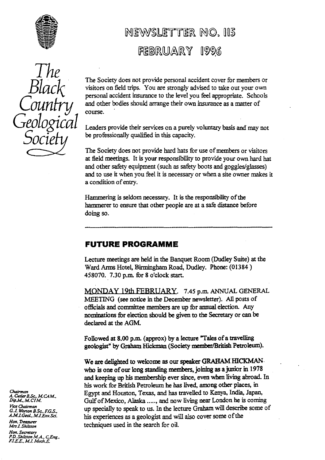

# MEWSLETTER NO. 115 FEBRUARY 1996



The Society does not provide personal accident cover for members or visitors on field trips. You are strongly advised to take out your own personal accident insurance to the level you feel appropriate. Schools and other bodies should arrange their own insurance as a matter of course.

Leaders provide their services on a purely voluntary basis and may not be professionally qualified in this capacity.

 The Society does not provide hard hats for use of members or visitors at field meetings. It is you**r**. responsibility to provide your own hard hat and other safety equipment (such as safety boots and goggles/glasses) and to use it when you feel it is necessary or when a site owner makes it a condition of entry.

Hammering is seldom necessa**ry**. It is the responsibility of the hammerer to ensure that other people are at a safe distance **be**fo**re** doing so.

## FUTURE PROGRAMME

Lecture meetings are held in the Banquet Room (Dudley Suite) at the Ward Arms Hotel, Birmingham Road, Dudley. Phone: **(01384)** 458070. 7.30 p.m. for 8 o'clock sta**rt**.

MONDAY 19th FEBRUARY. 7.45 p.m. ANNUAL GENERAL MEETING (see notice in the December newsletter). All posts of officials and committee members are up for annual election. Any nominations for election should be given to the Secretary or can be declared at the AGM.

Followed at 8.00 p.m. (approx) by a lecture "Tales of a travelling geologist" by Graham Hickman (Society **member/British** Petroleum).

We are delighted to welcome as our speaker GRAHAM HICKMANwho is one of our long standing members, joining as a junior in 1978 and keeping up his membership ever since, even when living abroad. In his work for British Petroleum he has lived, among other places, in Egypt and Houston, Texas, and has travelled to Kenya, India, Japan, *Dip.M., M.CIM.* Gulf of Mexico, Alaska ....., and now living near London he is coming<br>Vice Chairman *Vice Chair B.Sc., M.CAM.*<br>*Vice Chairman*<br>*Vice Chairman*, *G.J. Worsen B.Sc., F.G.S.*, up specially to speak to us. In the lecture Graham will describe some of *G.J. Worton B.Sc., F.G.S.*, up specially to speak to us. In . *G.J. Worton B.Sc., F.G.S. his experiences as a geologist and will also cover some of the A.M.LGeol., M.LEnv.Sci.* his experiences as a geologist and will also cover some of the techniques used in the search for oil.

*M.G4M., A. Cutler* Hon, Tr<del>easurer</del><br>Mr<del>s</del> J. Shilston

*Hon. Secretary P.D. Shilsion M.A.. CEng.. F.LE.E.. M.I. Mech.E*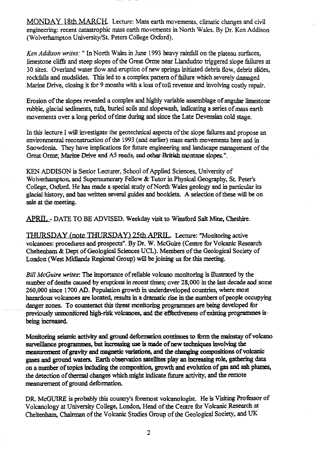MONDAY 18th MARCH. Lecture: Mass earth movements, climatic changes and civil engineering: recent catastrophic mass earth movements in North Wales. By Dr. Ken Addison (Wolverhampton University/St. Peters College Oxford).

*Ken Addison writes: "* In North Wales in June 1993 heavy rainfall on the plateau surfaces, limestone cliffs and steep slopes of the Great Orme near Llandudno triggered slope failures at 30 sites. Overland water flow and eruption of new springs initiated debris flow, debris slides, rockfalls and mudslides. This led to a complex pattern of failure which severely damaged Marine Drive, closing it for 9 months with a loss of toll revenue and involving costly repair.

Erosion of the slopes revealed a complex and highly variable assemblage of angular limestone rubble, glacial sediments, tufa, buried soils and slopewash, indicating a series of mass earth movements over a long period of time during and since the Late Devensian cold stage.

In this lecture I will investigate the geotechnical aspects of the slope failures and propose an environmental reconstruction of the 1993 (and earlier) mass earth movements here and in Snowdonia. They have implications for future engineering and landscape management of the Great Orme: Marine-Drive and A5 reads, and other British montane slopes."

KEN ADDISON is Senior Lecturer, School of Applied Sciences, University of Wolverhampton, and Supernumerary Fellow & Tutor in Physical Geography, St. Peter's College, Oxford. He has made a special study of North Wales geology and in particular its glacial history, and has written several guides and booklets. A selection of these will be on sale at the meeting.

APRIL - DATE TO BE ADVISED. Weekday visit to Winsford Salt Mine, Cheshire.

THURSDAY (note THURSDAY) 25th APRIL. Lecture: "Monitoring active volcanoes: procedures and prospects". By Dr. W. McGuire (Centre for Volcanic Research Cheltenham & Dept of Geological Sciences UCL). Members of the Geological Society of London (West Midlands Regional Group) will be joining us for this meeting.

*Bill McGuire writes:* The importance of reliable volcano monitoring is Illustrated by the number of deaths caused by eruptions in recent times; over 28,000 in the last decade and some 260,000 since 1700 AD. Population growth in underdeveloped countries, where most hazardous volcanoes are located, results in a dramatic rise in the numbers of people occupying danger zones. To counteract this threat monitoring programmes are being developed for previously unmonitored high-risk volcanoes, and the effectiveness of existing programmes isbeing increased.

Monitoring seismic activity and ground deformation continues to form the mainstay of volcano surveillance programmes, but increasing use is made of new techniques involving the measurement of gravity and magnetic **variations,** and the changing compositions of volcanic gases and ground waters. Earth observation satellites play an increasing role, gathering data on a number of topics including the composition, growth and evolution of gas and ash plumes, the detection of thermal changes which might indicate future activity, and the remote measurement of ground deformation.

DR. McGUIRE is probably this country's foremost volcanologist. He is Visiting Professor of Volcanology at University College, London, Head of the Centre for Volcanic Research at Cheltenham, Chairman of the Volcanic Studies Group of the Geological Society, and UK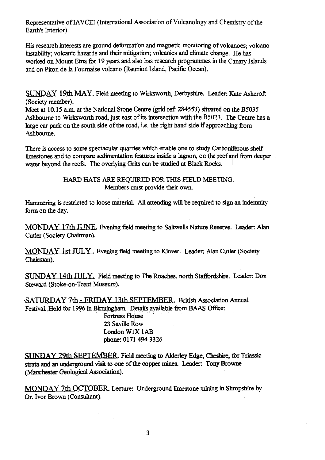Representative of IAVCEI (International Association of Vulcanology and Chemistry of the Earth's Interior).

His research interests are ground deformation and magnetic monitoring of volcanoes; volcano instability; volcanic hazards and their mitigation; volcanics and climate change. He has worked on Mount Etna for 19 years and also has research programmes in the Canary Islands and on Piton de la Fournaise volcano (Reunion Island, Pacific Ocean).

SUNDAY 19th MAY Field meeting to Wirksworth, Derbyshire. Leader: Kate Ashcroft (Society member).

Meet at 10.15 a.m. at the National Stone Centre (grid ref: 284553) situated on the B5035 Ashbourne to Wirksworth road, just east of its intersection with the B5023. The Centre has a large car park on the south side of the road, i.e. the right hand side if approaching from Ashbourne.

There is access to some spectacular quarries which enable one to study Carboniferous shelf limestones and to compare sedimentation features inside a lagoon, on the reef and from deeper water beyond the reefs. The overlying Grits can be studied at Black Rocks.

> HARD HATS ARE REQUIRED FOR THIS FIELD MEETING. Members must provide their own.

Hammering is restricted to loose material. All attending will be required to sign an indemnity form on the day.

MONDAY 17th JUNE. Evening field meeting to Saltwells Nature Reserve. Leader: Alan Cutler (Society Chairman).

MONDAY 1St JULY . Evening field meeting to Kinver. Leader: Alan Cutler (Society Chairman).

**SUNDAY 14th J1JLY.** Field meeting to The Roaches, north Staffordshire. Leader: Don Steward (Stoke-on-Trent Museum).

SATURDAY 7th - FRIDAY 13th SEPTEMBER. British Association Annual Festival. Held for 1996 in Birmingham. Details available from BAAS Office:

> Fortress Holuse 23 Saville Row **London W1X IAB** phone: 0171 494 3326

**SUNDAY 29th SEPTEMBER.** Field meeting to Alderley Edge, Cheshire, for Triassic strata and an underground visit to one of the copper mines. Leader: Tony Browne *(Manchester* Geological Association).

MONDAY 7th OCTOBER. Lecture: Underground limestone mining in Shropshire by Dr. Ivor Brown (Consultant).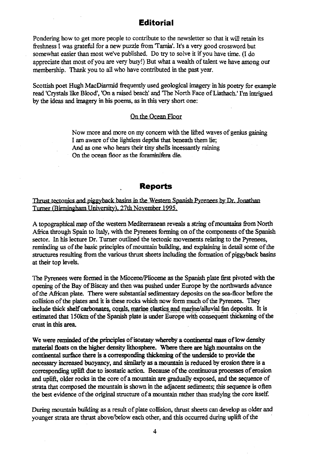## **Editorial**

Pondering how to get more people to contribute to the newsletter so that it will retain its freshness I was grateful for a new puzzle from'Tamia'. It's a very good crossword but somewhat easier than most we've published. Do try to solve it if you have time. (I do appreciate that most of you are very busy!) But what a wealth of talent we have among our membership. Thank you to all who have contributed in the past year.

Scottish poet Hugh MacDiarmid frequently used geological imagery in his poetry for example read 'Crystals like Blood', 'On a raised beach' and 'The North Face of Liathach.' I'm intrigued by the ideas and imagery in his poems, as in this *very* short one:

#### On the Ocean Floor

Now more and more on my concern with the lifted waves of genius gaining I am aware of the lightless depths that beneath them lie; And as one who hears their tiny shells incessantly raining On the ocean floor as the foraminifera die.

#### **Reports**

Thrust tectonics and piggyback basins in the Western Spanish Pyrenees by Dr. Jonathan Turner (Birmingham University), 27th November 1995.

A topographical map of the western Mediterranean reveals a string of mountains from North Africa through Spain to Italy, with the Pyrenees forming on of the components of the Spanish sector. In his lecture Dr. Turner outlined the tectonic movements relating to the Pyrenees, reminding us of the basic principles of mountain building, and explaining in detail some of the structures resulting from the various thrust sheets including the formation of piggyback basins at their top levels.

The Pyrenees were formed in the Miocene/Pliocene as the Spanish plate first pivoted with the opening of the Bay of Biscay and then was pushed under Europe by the northwards advance of the African plate. There were substantial *sedimentary* deposits on the sea-floor before the collision of the plates and it is these rocks which now form much of the Pyrenees. They include thick shelf carbonates, corals, marine clastics and marine/alluvial fan deposits. It is estimated that 150km of the Spanish plate is under Europe with consequent thickening of the crust in this area.

We were reminded of the principles of isostasy whereby a continental *mass of low density* material floats on the higher density lithosphere. Where there are high mountains on the continental surface there is a corresponding thickening of the underside to provide the necessary increased buoyancy, and similarly as a mountain is reduced by erosion there is a corresponding uplift due to isostatic action. Because of the continuous processes of erosion and uplift, older rocks in the core of a mountain are gradually exposed, and the sequence of strata that composed the mountain is shown in the adjacent sediments; this sequence is often the best evidence of the original structure of a mountain rather than studying the core itself.

During mountain building as a result of plate collision, thrust sheets can develop as older and younger strata are thrust above/below each other, and this occurred during uplift of the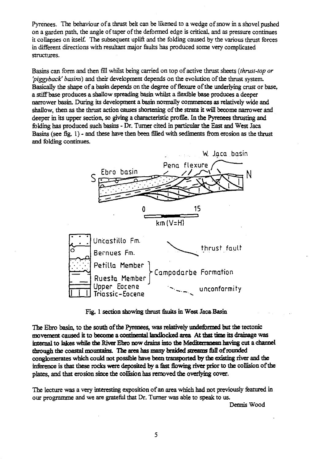Pyrenees. The **be**haviour of a thrust belt c**an be** likened to a wedge of snow in a shovel pushed on a garden path, the angle of taper of the deformed edge is critical, and as pressure continues it collapses on itself. The subsequent uplift and the folding caused by the various thrust forces in different directions with resultant major faults has produced some very complicated structures.

Basins can form and then fill whilst being carried on top of active thrust sheets *(thrust-top or piggyback' basins)* and their development depends on the evolution of the **thrust** system. Basically the shape of a basin depends on the degree of flexure of the underlying crust or base, a stiff base produces a shallow spreading basin whilst a fle**xi**ble base produces a deeper narrower basin. During its development a basin normally commences as relatively wide and shallow, then as the thrust action causes shortening of the strata it will become narrower and deeper in its upper section, so giving a characteristic profile. In the Pyrenees thrusting and folding has produced such basins - Dr. Turner cited in particular the East and West Jaca Basins (see fig. 1) - and these have then been filled with sediments from erosion as the thrust and folding continues.



Fig. 1 section showing thrust faults in West Jaca Basin

The Ebro basin, to the south of the Pyrenees, was relatively undeformed but the tectonic movement caused it to become a continental landlocked area At that time its drainage was internal to lakes while the River Ebro now drains into the **Mediterranean** having cut a channel through the coastal mountains. The area has many braided streams full of rounded conglomerates which could not possible have been transported by the existing river and the inference is that these rocks were deposited by a fast flowing river prior to the collision of the plates, and that erosion since the collision has removed the overlying cover.

The lecture was a ve**ry** interesting exposition of an area which had not previously featured in our programme and we are grateful that Dr. Turner was able to speak to us.

Dennis Wood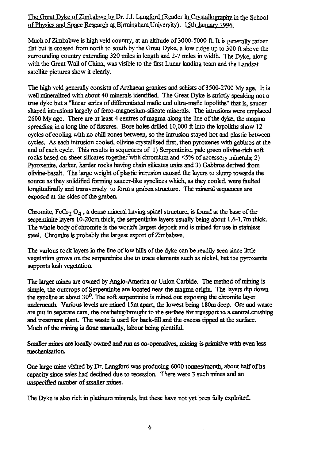### The Great Dyke of Zimbabwe by Dr. J.I. Langford (Reader in Crystallography in the School of Physics and Space Research at Birmingham University). 15th January 1996.

Much of Zimbabwe is high veld country, at an altitude of 3000-5000 ft. It is generally rather flat but is crossed from north to south by the Great Dyke, a low ridge up to 300 ft above the surrounding country extending 320 miles in length and 2-7 miles in width. The Dyke, along with the Great Wall of China, was visible to the first Lunar landing team and the Landsat satellite pictures show it clearly.

The high veld generally consists of Archaean granites and schists of 3500-2700 My age. It is well mineralized with about 40 minerals identified. The Great Dyke is strictly speaking not a true dyke but a "linear series of differentiated mafic and ultra-mafic lopoliths" that is, saucer shaped intrusions largely of ferro-magnesium-silicate minerals. The intrusions were emplaced 2600 My ago. There are at least 4 centres ofmagma along the line of the dyke, the magma spreading in a long line of fissures. Bore holes drilled 10,000 ft into the lopoliths show 12 cycles of cooling with no chill zones between, so the intrusion stayed hot and plastic between cycles. As each intrusion cooled, olivine crystallised first, then pyroxenes with gabbros at the end of each cycle. This results in sequences of 1) Serpentinite, pale green olivine-rich soft rocks based on sheet silicates together`with chromium and <5% of accessory minerals; 2) Pyroxenite, darker, harder rocks having chain silicates units and 3) Gabbros derived from olivine-basalt. The large weight of plastic intrusion caused the layers to slump towards the source as they solidified forming saucer-like synclines which, as they cooled, were faulted longitudinally and transversely to form a graben structure. The mineral sequences are exposed at the sides of the graben.

Chromite,  $F_{12}O_{4}$ , a dense mineral having spinel structure, is found at the base of the serpentinite layers 10-20cm thick, the serpentinite layers usually being about 1.6-1.7m thick. The whole body of chromite is the world's largest deposit and is mined for use in stainless steel. Chromite is probably the largest export of Zimbabwe.

The various rock layers in the line of low hills of the dyke can be readily seen since little vegetation grows on the serpentinite due to trace elements such as nickel, but the pyroxenite supports lush vegetation.

The larger mines are owned by Anglo-America or Union Carbide. The method of mining is simple, the outcrops of Serpentinite are located near the magma origin. The layers dip down the syncline at about 30<sup>0</sup>. The soft serpentinite is mined out exposing the chromite layer underneath. Various levels are mined 15m apart, the lowest being 180m deep. Ore and waste are put in separate cars, the ore-being-brought to the surface for transport to a central crushing. and treatment plant. The waste is used for back-fill and the excess tipped at the surface. Much of the mining is done manually, labour being plentiful.

Smaller mines are locally owned and run as co-operatives, mining is primitive with even less mechanisation.

One large mine visited by Dr. Langford was producing 6000 tonnes/month, about half of its capacity since sales had declined due to recession. There were 3 such mines and an unspecified number of smaller mines.

The Dyke is also rich in platinum minerals, but these have not yet been fully exploited.